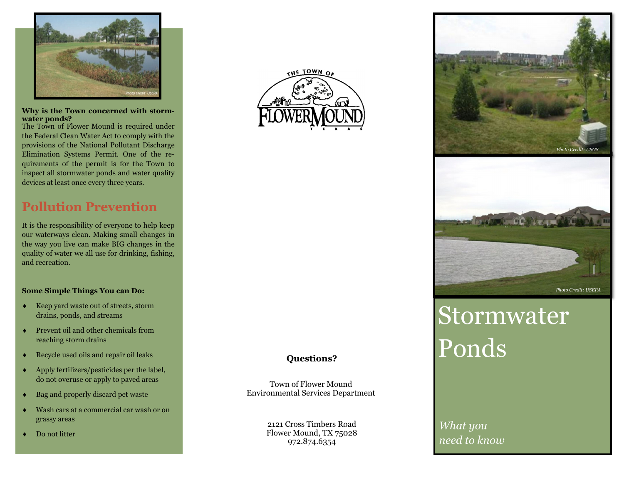

#### **Why is the Town concerned with stormwater ponds?**

The Town of Flower Mound is required under the Federal Clean Water Act to comply with the provisions of the National Pollutant Discharge Elimination Systems Permit. One of the requirements of the permit is for the Town to inspect all stormwater ponds and water quality devices at least once every three years.

## **Pollution Prevention**

It is the responsibility of everyone to help keep our waterways clean. Making small changes in the way you live can make BIG changes in the quality of water we all use for drinking, fishing, and recreation.

#### **Some Simple Things You can Do:**

- $\blacklozenge$  Keep yard waste out of streets, storm drains, ponds, and streams
- $\bullet$  Prevent oil and other chemicals from reaching storm drains
- ٠ Recycle used oils and repair oil leaks
- $\bullet$  Apply fertilizers/pesticides per the label, do not overuse or apply to paved areas
- $\bullet$ Bag and properly discard pet waste
- $\bullet$  Wash cars at a commercial car wash or on grassy areas
- $\bullet$ Do not litter



#### **Questions?**

Town of Flower Mound Environmental Services Department

> 2121 Cross Timbers Road Flower Mound, TX 75028 972.874.6354



# **Stormwater** Ponds

*What you need to know*